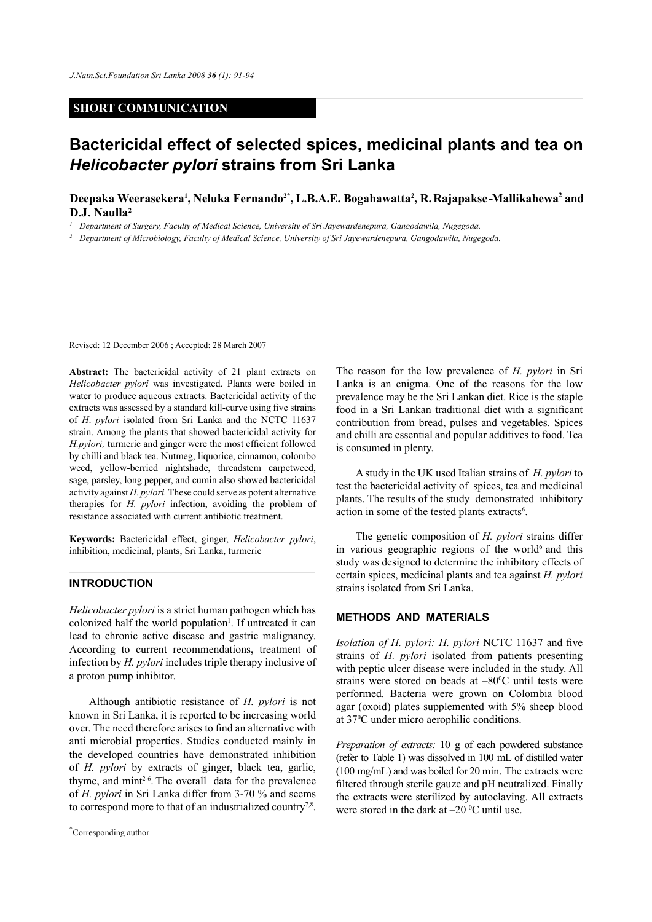#### **SHORT COMMUNICATION**

# **Bactericidal effect of selected spices, medicinal plants and tea on**  *Helicobacter pylori* **strains from Sri Lanka**

# Deepaka Weerasekera<sup>1</sup>, Neluka Fernando<sup>2\*</sup>, L.B.A.E. Bogahawatta<sup>2</sup>, R. Rajapakse-Mallikahewa<sup>2</sup> and **D.J. Naulla2**

<sup>1</sup> Department of Surgery, Faculty of Medical Science, University of Sri Jayewardenepura, Gangodawila, Nugegoda.

*<sup>2</sup> Department of Microbiology, Faculty of Medical Science, University of Sri Jayewardenepura, Gangodawila, Nugegoda.* 

Revised: 12 December 2006 ; Accepted: 28 March 2007

**Abstract:** The bactericidal activity of 21 plant extracts on *Helicobacter pylori* was investigated. Plants were boiled in water to produce aqueous extracts. Bactericidal activity of the extracts was assessed by a standard kill-curve using five strains of *H*. *pylori* isolated from Sri Lanka and the NCTC 11637 strain. Among the plants that showed bactericidal activity for *H.pylori,* turmeric and ginger were the most efficient followed by chilli and black tea. Nutmeg, liquorice, cinnamon, colombo weed, yellow-berried nightshade, threadstem carpetweed, sage, parsley, long pepper, and cumin also showed bactericidal activity against *H. pylori.* These could serve as potent alternative therapies for *H. pylori* infection, avoiding the problem of resistance associated with current antibiotic treatment.

**Keywords:** Bactericidal effect, ginger, *Helicobacter pylori*, inhibition, medicinal, plants, Sri Lanka, turmeric

# **Introduction**

*Helicobacter pylori* is a strict human pathogen which has colonized half the world population<sup>1</sup>. If untreated it can lead to chronic active disease and gastric malignancy. According to current recommendations**,** treatment of infection by *H. pylori* includes triple therapy inclusive of a proton pump inhibitor.

Although antibiotic resistance of *H. pylori* is not known in Sri Lanka, it is reported to be increasing world over. The need therefore arises to find an alternative with anti microbial properties. Studies conducted mainly in the developed countries have demonstrated inhibition of *H. pylori* by extracts of ginger, black tea, garlic, thyme, and  $min^{2-6}$ . The overall data for the prevalence of *H. pylori* in Sri Lanka differ from 3-70 % and seems to correspond more to that of an industrialized country<sup>7,8</sup>.

The reason for the low prevalence of *H. pylori* in Sri Lanka is an enigma. One of the reasons for the low prevalence may be the Sri Lankan diet. Rice is the staple food in a Sri Lankan traditional diet with a significant contribution from bread, pulses and vegetables. Spices and chilli are essential and popular additives to food. Tea is consumed in plenty.

A study in the UK used Italian strains of *H. pylori* to test the bactericidal activity of spices, tea and medicinal plants. The results of the study demonstrated inhibitory action in some of the tested plants extracts<sup>6</sup>.

The genetic composition of *H. pylori* strains differ in various geographic regions of the world $6$  and this study was designed to determine the inhibitory effects of certain spices, medicinal plants and tea against *H. pylori* strains isolated from Sri Lanka.

# **METHODS AND MATERIALS**

*Isolation of H. pylori: H. pylori* NCTC 11637 and five strains of *H. pylori* isolated from patients presenting with peptic ulcer disease were included in the study. All strains were stored on beads at  $-80^{\circ}$ C until tests were performed. Bacteria were grown on Colombia blood agar (oxoid) plates supplemented with 5% sheep blood at 370 C under micro aerophilic conditions.

*Preparation of extracts:* 10 g of each powdered substance (refer to Table 1) was dissolved in 100 mL of distilled water (100 mg/mL) and was boiled for 20 min. The extracts were filtered through sterile gauze and pH neutralized. Finally the extracts were sterilized by autoclaving. All extracts were stored in the dark at  $-20$  °C until use.

*Journal of the National Science Foundation of Sri Lanka 36 (1) March 2008* \* Corresponding author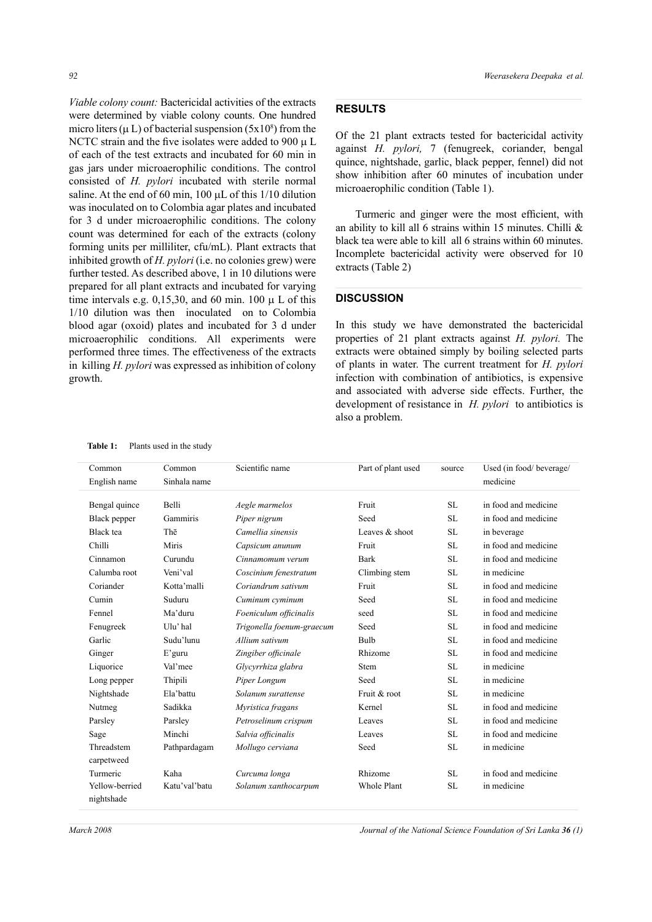*Viable colony count:* Bactericidal activities of the extracts were determined by viable colony counts. One hundred micro liters ( $\mu$  L) of bacterial suspension (5x10<sup>8</sup>) from the NCTC strain and the five isolates were added to 900  $\mu$  L of each of the test extracts and incubated for 60 min in gas jars under microaerophilic conditions. The control consisted of *H. pylori* incubated with sterile normal saline. At the end of 60 min,  $100 \mu L$  of this  $1/10$  dilution was inoculated on to Colombia agar plates and incubated for 3 d under microaerophilic conditions. The colony count was determined for each of the extracts (colony forming units per milliliter, cfu/mL). Plant extracts that inhibited growth of *H. pylori* (i.e. no colonies grew) were further tested. As described above, 1 in 10 dilutions were prepared for all plant extracts and incubated for varying time intervals e.g. 0,15,30, and 60 min. 100  $\mu$  L of this 1/10 dilution was then inoculated on to Colombia blood agar (oxoid) plates and incubated for 3 d under microaerophilic conditions. All experiments were performed three times. The effectiveness of the extracts in killing *H. pylori* was expressed as inhibition of colony growth.

Table 1: Plants used in the study

#### **Results**

Of the 21 plant extracts tested for bactericidal activity against *H. pylori,* 7 (fenugreek, coriander, bengal quince, nightshade, garlic, black pepper, fennel) did not show inhibition after 60 minutes of incubation under microaerophilic condition (Table 1).

Turmeric and ginger were the most efficient, with an ability to kill all 6 strains within 15 minutes. Chilli & black tea were able to kill all 6 strains within 60 minutes. Incomplete bactericidal activity were observed for 10 extracts (Table 2)

## **DISCUSSION**

In this study we have demonstrated the bactericidal properties of 21 plant extracts against *H. pylori.* The extracts were obtained simply by boiling selected parts of plants in water. The current treatment for *H. pylori*  infection with combination of antibiotics, is expensive and associated with adverse side effects. Further, the development of resistance in *H. pylori* to antibiotics is also a problem.

| Common                       | Common        | Scientific name           | Part of plant used | source    | Used (in food/beverage/ |
|------------------------------|---------------|---------------------------|--------------------|-----------|-------------------------|
| English name                 | Sinhala name  |                           |                    |           | medicine                |
| Bengal quince                | Belli         | Aegle marmelos            | Fruit              | <b>SL</b> | in food and medicine    |
| Black pepper                 | Gammiris      | Piper nigrum              | Seed               | <b>SL</b> | in food and medicine    |
| Black tea                    | Thē           | Camellia sinensis         | Leaves & shoot     | <b>SL</b> | in beverage             |
| Chilli                       | Miris         | Capsicum anunum           | Fruit              | <b>SL</b> | in food and medicine    |
| Cinnamon                     | Curundu       | Cinnamomum verum          | <b>Bark</b>        | <b>SL</b> | in food and medicine    |
| Calumba root                 | Veni'val      | Coscinium fenestratum     | Climbing stem      | <b>SL</b> | in medicine             |
| Coriander                    | Kotta'malli   | Coriandrum sativum        | Fruit              | <b>SL</b> | in food and medicine    |
| Cumin                        | Suduru        | Cuminum cyminum           | Seed               | <b>SL</b> | in food and medicine    |
| Fennel                       | Ma'duru       | Foeniculum officinalis    | seed               | <b>SL</b> | in food and medicine    |
| Fenugreek                    | Ulu'hal       | Trigonella foenum-graecum | Seed               | <b>SL</b> | in food and medicine    |
| Garlic                       | Sudu'lunu     | Allium sativum            | Bulb               | <b>SL</b> | in food and medicine    |
| Ginger                       | $E'$ guru     | Zingiber officinale       | Rhizome            | <b>SL</b> | in food and medicine    |
| Liquorice                    | Val'mee       | Glycyrrhiza glabra        | Stem               | <b>SL</b> | in medicine             |
| Long pepper                  | Thipili       | Piper Longum              | Seed               | <b>SL</b> | in medicine             |
| Nightshade                   | Ela'hattu     | Solanum surattense        | Fruit & root       | <b>SL</b> | in medicine             |
| Nutmeg                       | Sadikka       | Myristica fragans         | Kernel             | SL        | in food and medicine    |
| Parsley                      | Parsley       | Petroselinum crispum      | Leaves             | <b>SL</b> | in food and medicine    |
| Sage                         | Minchi        | Salvia officinalis        | Leaves             | <b>SL</b> | in food and medicine    |
| Threadstem<br>carpetweed     | Pathpardagam  | Mollugo cerviana          | Seed               | <b>SL</b> | in medicine             |
| Turmeric                     | Kaha          | Curcuma longa             | Rhizome            | <b>SL</b> | in food and medicine    |
| Yellow-berried<br>nightshade | Katu'val'batu | Solanum xanthocarpum      | Whole Plant        | <b>SL</b> | in medicine             |

*March 2008 Journal of the National Science Foundation of Sri Lanka 36 (1)*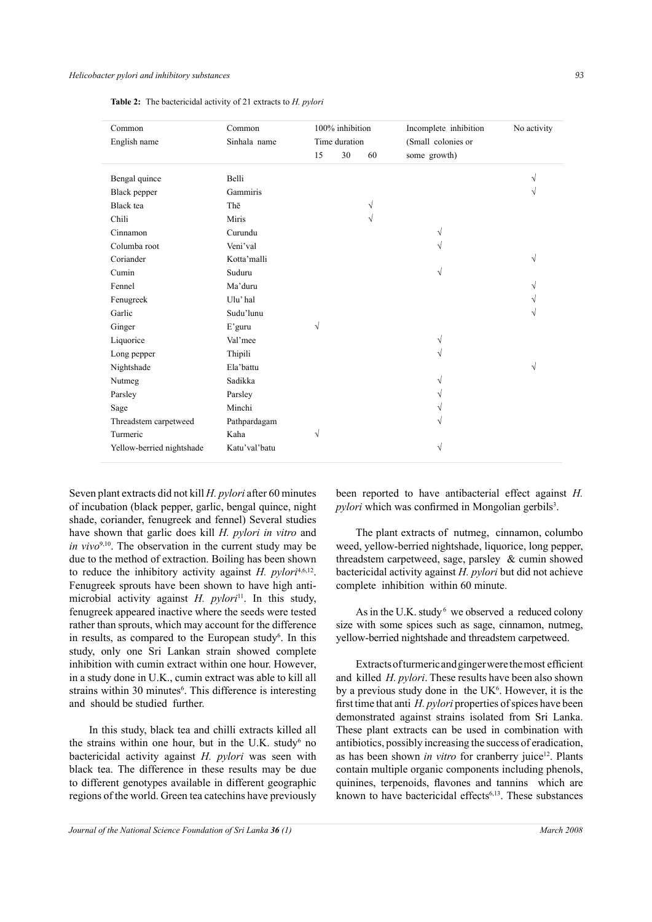**Table 2:** The bactericidal activity of 21 extracts to *H. pylori*

| Common                    | Common<br>Sinhala name |               | 100% inhibition |    | Incomplete inhibition | No activity |
|---------------------------|------------------------|---------------|-----------------|----|-----------------------|-------------|
| English name              |                        | Time duration |                 |    | (Small colonies or    |             |
|                           |                        | 15            | 30              | 60 | some growth)          |             |
| Bengal quince             | Belli                  |               |                 |    |                       |             |
| Black pepper              | Gammiris               |               |                 |    |                       |             |
| Black tea                 | Thē                    |               |                 | V  |                       |             |
| Chili                     | Miris                  |               |                 | V  |                       |             |
| Cinnamon                  | Curundu                |               |                 |    |                       |             |
| Columba root              | Veni'val               |               |                 |    |                       |             |
| Coriander                 | Kotta'malli            |               |                 |    |                       | V           |
| Cumin                     | Suduru                 |               |                 |    | $\sqrt{}$             |             |
| Fennel                    | Ma'duru                |               |                 |    |                       |             |
| Fenugreek                 | Ulu' hal               |               |                 |    |                       |             |
| Garlic                    | Sudu'lunu              |               |                 |    |                       |             |
| Ginger                    | E'guru                 | $\sqrt{}$     |                 |    |                       |             |
| Liquorice                 | Val'mee                |               |                 |    |                       |             |
| Long pepper               | Thipili                |               |                 |    |                       |             |
| Nightshade                | Ela'battu              |               |                 |    |                       | V           |
| Nutmeg                    | Sadikka                |               |                 |    |                       |             |
| Parsley                   | Parsley                |               |                 |    |                       |             |
| Sage                      | Minchi                 |               |                 |    |                       |             |
| Threadstem carpetweed     | Pathpardagam           |               |                 |    |                       |             |
| Turmeric                  | Kaha                   | √             |                 |    |                       |             |
| Yellow-berried nightshade | Katu'val'batu          |               |                 |    | V                     |             |

Seven plant extracts did not kill *H. pylori* after 60 minutes of incubation (black pepper, garlic, bengal quince, night shade, coriander, fenugreek and fennel) Several studies have shown that garlic does kill *H. pylori in vitro* and *in vivo*<sup>9,10</sup>. The observation in the current study may be due to the method of extraction. Boiling has been shown to reduce the inhibitory activity against *H. pylori<sup>4,6,12</sup>*. Fenugreek sprouts have been shown to have high antimicrobial activity against *H. pylori*<sup>11</sup>. In this study, fenugreek appeared inactive where the seeds were tested rather than sprouts, which may account for the difference in results, as compared to the European study $6$ . In this study, only one Sri Lankan strain showed complete inhibition with cumin extract within one hour. However, in a study done in U.K., cumin extract was able to kill all strains within 30 minutes<sup>6</sup>. This difference is interesting and should be studied further.

In this study, black tea and chilli extracts killed all the strains within one hour, but in the U.K. study $6$  no bactericidal activity against *H. pylori* was seen with black tea. The difference in these results may be due to different genotypes available in different geographic regions of the world. Green tea catechins have previously

been reported to have antibacterial effect against *H. pylori* which was confirmed in Mongolian gerbils<sup>3</sup>.

The plant extracts of nutmeg, cinnamon, columbo weed, yellow-berried nightshade, liquorice, long pepper, threadstem carpetweed, sage, parsley & cumin showed bactericidal activity against *H. pylori* but did not achieve complete inhibition within 60 minute.

As in the U.K. study  $6$  we observed a reduced colony size with some spices such as sage, cinnamon, nutmeg, yellow-berried nightshade and threadstem carpetweed.

Extracts of turmeric and ginger were the most efficient and killed *H. pylori*. These results have been also shown by a previous study done in the  $UK<sup>6</sup>$ . However, it is the first time that anti *H. pylori* properties of spices have been demonstrated against strains isolated from Sri Lanka. These plant extracts can be used in combination with antibiotics, possibly increasing the success of eradication, as has been shown *in vitro* for cranberry juice<sup>12</sup>. Plants contain multiple organic components including phenols, quinines, terpenoids, flavones and tannins which are known to have bactericidal effects<sup>6,13</sup>. These substances

*Journal of the National Science Foundation of Sri Lanka* **36** (1) March 2008